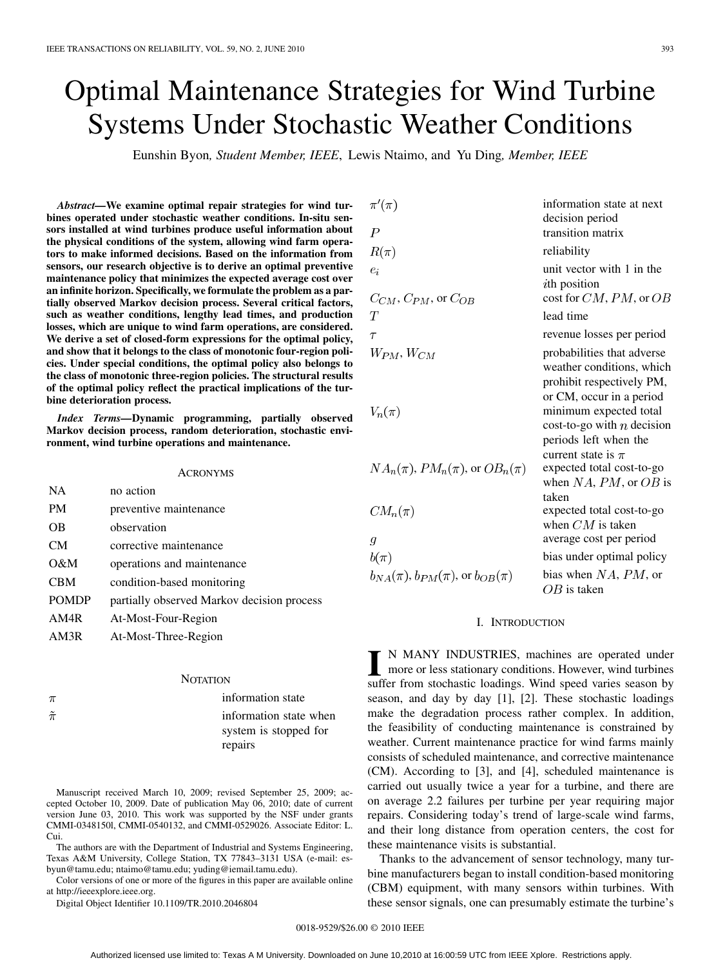# Optimal Maintenance Strategies for Wind Turbine Systems Under Stochastic Weather Conditions

Eunshin Byon*, Student Member, IEEE*, Lewis Ntaimo, and Yu Ding*, Member, IEEE*

 $\mathbf{z}$ 

*Abstract—***We examine optimal repair strategies for wind turbines operated under stochastic weather conditions. In-situ sensors installed at wind turbines produce useful information about the physical conditions of the system, allowing wind farm operators to make informed decisions. Based on the information from sensors, our research objective is to derive an optimal preventive maintenance policy that minimizes the expected average cost over an infinite horizon. Specifically, we formulate the problem as a partially observed Markov decision process. Several critical factors, such as weather conditions, lengthy lead times, and production losses, which are unique to wind farm operations, are considered. We derive a set of closed-form expressions for the optimal policy, and show that it belongs to the class of monotonic four-region policies. Under special conditions, the optimal policy also belongs to the class of monotonic three-region policies. The structural results of the optimal policy reflect the practical implications of the turbine deterioration process.**

*Index Terms—***Dynamic programming, partially observed Markov decision process, random deterioration, stochastic environment, wind turbine operations and maintenance.**

# ACRONYMS

| <b>NA</b>    | no action                                  |
|--------------|--------------------------------------------|
| PM           | preventive maintenance                     |
| OВ           | observation                                |
| CM.          | corrective maintenance                     |
| O&M          | operations and maintenance                 |
| CBM          | condition-based monitoring                 |
| <b>POMDP</b> | partially observed Markov decision process |
| AM4R         | At-Most-Four-Region                        |
| AM3R         | At-Most-Three-Region                       |
|              |                                            |

#### **NOTATION**

| $\pi$         | information state                               |
|---------------|-------------------------------------------------|
| $\tilde{\pi}$ | information state when<br>system is stopped for |
|               | repairs                                         |

Manuscript received March 10, 2009; revised September 25, 2009; accepted October 10, 2009. Date of publication May 06, 2010; date of current version June 03, 2010. This work was supported by the NSF under grants CMMI-0348150l, CMMI-0540132, and CMMI-0529026. Associate Editor: L. Cui.

The authors are with the Department of Industrial and Systems Engineering, Texas A&M University, College Station, TX 77843–3131 USA (e-mail: esbyun@tamu.edu; ntaimo@tamu.edu; yuding@iemail.tamu.edu).

Color versions of one or more of the figures in this paper are available online at http://ieeexplore.ieee.org.

Digital Object Identifier 10.1109/TR.2010.2046804

| $\pi'(\pi)$                       | inform   |
|-----------------------------------|----------|
| $P$                               | decision |
| $R(\pi)$                          | reliabi  |
| $e_i$                             | unit ve  |
| $C_{CM}$ , $C_{PM}$ , or $C_{OB}$ | cost fo  |
| $T$                               | lead ti  |
| $\tau$                            | revenu   |
| $W_{PM}$ , $W_{CM}$               | probab   |
| $V_n(\pi)$                        | minim    |

 $NA_n(\pi)$ ,  $PM_n(\pi)$ , or  $OB_n(\pi)$  expected total cost-to-go

 $CM_n(\pi)$ 

$$
b(\pi)
$$

information state at next on period ion matrix lity ector with 1 in the sition or  $CM$ ,  $PM$ , or  $OB$ me re losses per period bilities that adverse er conditions, which it respectively PM, , occur in a period um expected total cost-to-go with  $n$  decision periods left when the current state is  $\pi$ when  $NA$ ,  $PM$ , or  $OB$  is taken expected total cost-to-go when  $CM$  is taken average cost per period bias under optimal policy  $b_{NA}(\pi)$ ,  $b_{PM}(\pi)$ , or  $b_{OB}(\pi)$  bias when NA, PM, or  $OB$  is taken

# I. INTRODUCTION

**I** N MANY INDUSTRIES, machines are operated under more or less stationary conditions. However, wind turbines suffer from stochastic loadings. Wind speed varies season by season, and day by day [1], [2]. These stochastic loadings make the degradation process rather complex. In addition, the feasibility of conducting maintenance is constrained by weather. Current maintenance practice for wind farms mainly consists of scheduled maintenance, and corrective maintenance (CM). According to [3], and [4], scheduled maintenance is carried out usually twice a year for a turbine, and there are on average 2.2 failures per turbine per year requiring major repairs. Considering today's trend of large-scale wind farms, and their long distance from operation centers, the cost for these maintenance visits is substantial.

Thanks to the advancement of sensor technology, many turbine manufacturers began to install condition-based monitoring (CBM) equipment, with many sensors within turbines. With these sensor signals, one can presumably estimate the turbine's

## 0018-9529/\$26.00 © 2010 IEEE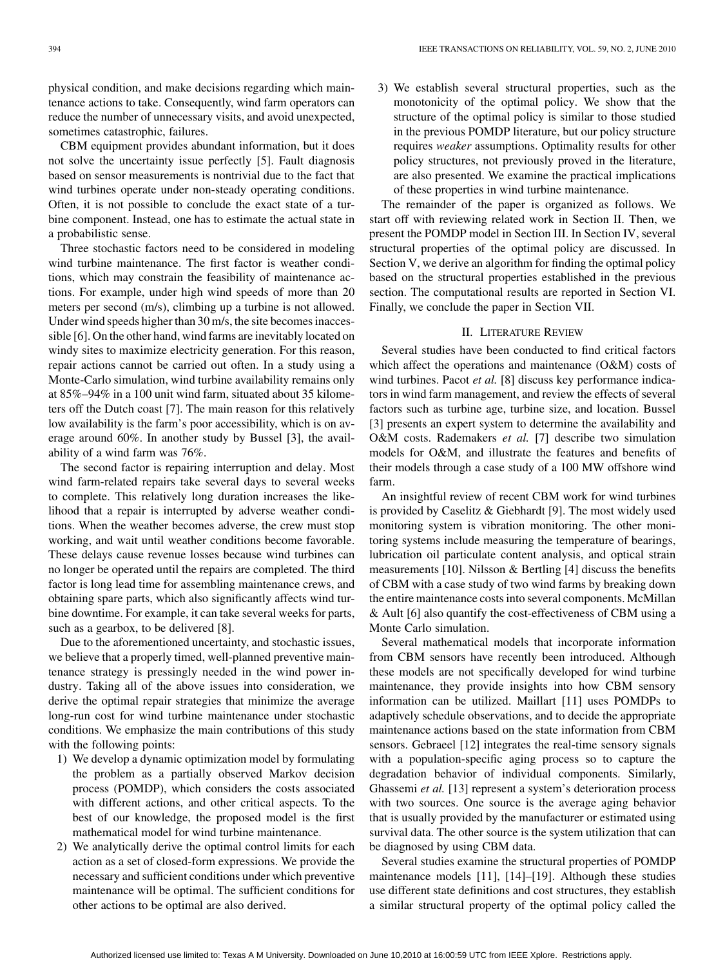physical condition, and make decisions regarding which maintenance actions to take. Consequently, wind farm operators can reduce the number of unnecessary visits, and avoid unexpected, sometimes catastrophic, failures.

CBM equipment provides abundant information, but it does not solve the uncertainty issue perfectly [5]. Fault diagnosis based on sensor measurements is nontrivial due to the fact that wind turbines operate under non-steady operating conditions. Often, it is not possible to conclude the exact state of a turbine component. Instead, one has to estimate the actual state in a probabilistic sense.

Three stochastic factors need to be considered in modeling wind turbine maintenance. The first factor is weather conditions, which may constrain the feasibility of maintenance actions. For example, under high wind speeds of more than 20 meters per second (m/s), climbing up a turbine is not allowed. Under wind speeds higher than 30 m/s, the site becomes inaccessible [6]. On the other hand, wind farms are inevitably located on windy sites to maximize electricity generation. For this reason, repair actions cannot be carried out often. In a study using a Monte-Carlo simulation, wind turbine availability remains only at 85%–94% in a 100 unit wind farm, situated about 35 kilometers off the Dutch coast [7]. The main reason for this relatively low availability is the farm's poor accessibility, which is on average around 60%. In another study by Bussel [3], the availability of a wind farm was 76%.

The second factor is repairing interruption and delay. Most wind farm-related repairs take several days to several weeks to complete. This relatively long duration increases the likelihood that a repair is interrupted by adverse weather conditions. When the weather becomes adverse, the crew must stop working, and wait until weather conditions become favorable. These delays cause revenue losses because wind turbines can no longer be operated until the repairs are completed. The third factor is long lead time for assembling maintenance crews, and obtaining spare parts, which also significantly affects wind turbine downtime. For example, it can take several weeks for parts, such as a gearbox, to be delivered [8].

Due to the aforementioned uncertainty, and stochastic issues, we believe that a properly timed, well-planned preventive maintenance strategy is pressingly needed in the wind power industry. Taking all of the above issues into consideration, we derive the optimal repair strategies that minimize the average long-run cost for wind turbine maintenance under stochastic conditions. We emphasize the main contributions of this study with the following points:

- 1) We develop a dynamic optimization model by formulating the problem as a partially observed Markov decision process (POMDP), which considers the costs associated with different actions, and other critical aspects. To the best of our knowledge, the proposed model is the first mathematical model for wind turbine maintenance.
- 2) We analytically derive the optimal control limits for each action as a set of closed-form expressions. We provide the necessary and sufficient conditions under which preventive maintenance will be optimal. The sufficient conditions for other actions to be optimal are also derived.

3) We establish several structural properties, such as the monotonicity of the optimal policy. We show that the structure of the optimal policy is similar to those studied in the previous POMDP literature, but our policy structure requires *weaker* assumptions. Optimality results for other policy structures, not previously proved in the literature, are also presented. We examine the practical implications of these properties in wind turbine maintenance.

The remainder of the paper is organized as follows. We start off with reviewing related work in Section II. Then, we present the POMDP model in Section III. In Section IV, several structural properties of the optimal policy are discussed. In Section V, we derive an algorithm for finding the optimal policy based on the structural properties established in the previous section. The computational results are reported in Section VI. Finally, we conclude the paper in Section VII.

# II. LITERATURE REVIEW

Several studies have been conducted to find critical factors which affect the operations and maintenance (O&M) costs of wind turbines. Pacot *et al.* [8] discuss key performance indicators in wind farm management, and review the effects of several factors such as turbine age, turbine size, and location. Bussel [3] presents an expert system to determine the availability and O&M costs. Rademakers *et al.* [7] describe two simulation models for O&M, and illustrate the features and benefits of their models through a case study of a 100 MW offshore wind farm.

An insightful review of recent CBM work for wind turbines is provided by Caselitz & Giebhardt [9]. The most widely used monitoring system is vibration monitoring. The other monitoring systems include measuring the temperature of bearings, lubrication oil particulate content analysis, and optical strain measurements [10]. Nilsson  $\&$  Bertling [4] discuss the benefits of CBM with a case study of two wind farms by breaking down the entire maintenance costs into several components. McMillan & Ault [6] also quantify the cost-effectiveness of CBM using a Monte Carlo simulation.

Several mathematical models that incorporate information from CBM sensors have recently been introduced. Although these models are not specifically developed for wind turbine maintenance, they provide insights into how CBM sensory information can be utilized. Maillart [11] uses POMDPs to adaptively schedule observations, and to decide the appropriate maintenance actions based on the state information from CBM sensors. Gebraeel [12] integrates the real-time sensory signals with a population-specific aging process so to capture the degradation behavior of individual components. Similarly, Ghassemi *et al.* [13] represent a system's deterioration process with two sources. One source is the average aging behavior that is usually provided by the manufacturer or estimated using survival data. The other source is the system utilization that can be diagnosed by using CBM data.

Several studies examine the structural properties of POMDP maintenance models [11], [14]–[19]. Although these studies use different state definitions and cost structures, they establish a similar structural property of the optimal policy called the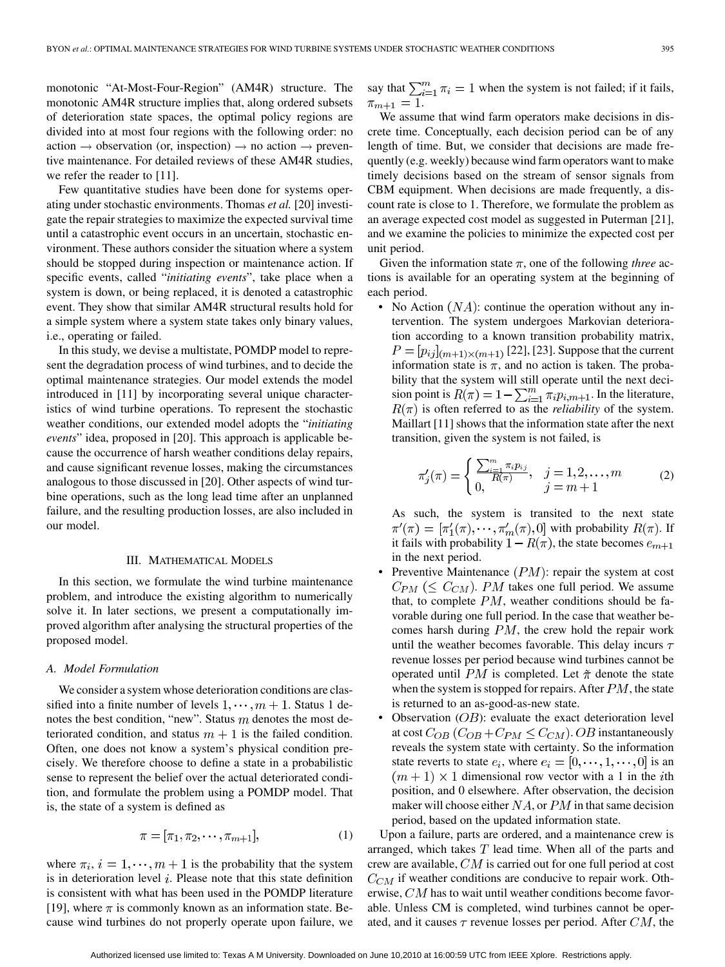monotonic "At-Most-Four-Region" (AM4R) structure. The monotonic AM4R structure implies that, along ordered subsets of deterioration state spaces, the optimal policy regions are divided into at most four regions with the following order: no action  $\rightarrow$  observation (or, inspection)  $\rightarrow$  no action  $\rightarrow$  preventive maintenance. For detailed reviews of these AM4R studies, we refer the reader to [11].

Few quantitative studies have been done for systems operating under stochastic environments. Thomas *et al.* [20] investigate the repair strategies to maximize the expected survival time until a catastrophic event occurs in an uncertain, stochastic environment. These authors consider the situation where a system should be stopped during inspection or maintenance action. If specific events, called "*initiating events*", take place when a system is down, or being replaced, it is denoted a catastrophic event. They show that similar AM4R structural results hold for a simple system where a system state takes only binary values, i.e., operating or failed.

In this study, we devise a multistate, POMDP model to represent the degradation process of wind turbines, and to decide the optimal maintenance strategies. Our model extends the model introduced in [11] by incorporating several unique characteristics of wind turbine operations. To represent the stochastic weather conditions, our extended model adopts the "*initiating events*" idea, proposed in [20]. This approach is applicable because the occurrence of harsh weather conditions delay repairs, and cause significant revenue losses, making the circumstances analogous to those discussed in [20]. Other aspects of wind turbine operations, such as the long lead time after an unplanned failure, and the resulting production losses, are also included in our model.

#### III. MATHEMATICAL MODELS

In this section, we formulate the wind turbine maintenance problem, and introduce the existing algorithm to numerically solve it. In later sections, we present a computationally improved algorithm after analysing the structural properties of the proposed model.

#### *A. Model Formulation*

We consider a system whose deterioration conditions are classified into a finite number of levels  $1, \dots, m + 1$ . Status 1 denotes the best condition, "new". Status  $m$  denotes the most deteriorated condition, and status  $m + 1$  is the failed condition. Often, one does not know a system's physical condition precisely. We therefore choose to define a state in a probabilistic sense to represent the belief over the actual deteriorated condition, and formulate the problem using a POMDP model. That is, the state of a system is defined as

$$
\pi = [\pi_1, \pi_2, \cdots, \pi_{m+1}], \tag{1}
$$

where  $\pi_i$ ,  $i = 1, \dots, m + 1$  is the probability that the system is in deterioration level  $i$ . Please note that this state definition is consistent with what has been used in the POMDP literature [19], where  $\pi$  is commonly known as an information state. Because wind turbines do not properly operate upon failure, we

say that  $\sum_{i=1}^{m} \pi_i = 1$  when the system is not failed; if it fails,  $\pi_{m+1} = 1.$ 

We assume that wind farm operators make decisions in discrete time. Conceptually, each decision period can be of any length of time. But, we consider that decisions are made frequently (e.g. weekly) because wind farm operators want to make timely decisions based on the stream of sensor signals from CBM equipment. When decisions are made frequently, a discount rate is close to 1. Therefore, we formulate the problem as an average expected cost model as suggested in Puterman [21], and we examine the policies to minimize the expected cost per unit period.

Given the information state  $\pi$ , one of the following *three* actions is available for an operating system at the beginning of each period.

• No Action  $(NA)$ : continue the operation without any intervention. The system undergoes Markovian deterioration according to a known transition probability matrix,  $P = [p_{ij}]_{(m+1)\times(m+1)}$  [22], [23]. Suppose that the current information state is  $\pi$ , and no action is taken. The probability that the system will still operate until the next decision point is  $R(\pi) = 1 - \sum_{i=1}^{m} \pi_i p_{i,m+1}$ . In the literature,  $R(\pi)$  is often referred to as the *reliability* of the system. Maillart [11] shows that the information state after the next transition, given the system is not failed, is

$$
\pi'_j(\pi) = \begin{cases} \frac{\sum_{i=1}^m \pi_i p_{ij}}{R(\pi)}, & j = 1, 2, \dots, m \\ 0, & j = m + 1 \end{cases}
$$
 (2)

As such, the system is transited to the next state  $\pi'(\pi) = [\pi'_1(\pi), \cdots, \pi'_m(\pi), 0]$  with probability  $R(\pi)$ . If it fails with probability  $1 - R(\pi)$ , the state becomes  $e_{m+1}$ in the next period.

- Preventive Maintenance  $(PM)$ : repair the system at cost  $C_{PM}$  ( $\leq C_{CM}$ ). PM takes one full period. We assume that, to complete  $PM$ , weather conditions should be favorable during one full period. In the case that weather becomes harsh during  $PM$ , the crew hold the repair work until the weather becomes favorable. This delay incurs  $\tau$ revenue losses per period because wind turbines cannot be operated until PM is completed. Let  $\tilde{\pi}$  denote the state when the system is stopped for repairs. After  $PM$ , the state is returned to an as-good-as-new state.
- Observation  $(OB)$ : evaluate the exact deterioration level at cost  $C_{OB}$  ( $C_{OB}$  +  $C_{PM} \le C_{CM}$ ). OB instantaneously reveals the system state with certainty. So the information state reverts to state  $e_i$ , where  $e_i = [0, \dots, 1, \dots, 0]$  is an  $(m+1) \times 1$  dimensional row vector with a 1 in the *i*th position, and 0 elsewhere. After observation, the decision maker will choose either  $NA$ , or  $PM$  in that same decision period, based on the updated information state.

Upon a failure, parts are ordered, and a maintenance crew is arranged, which takes  $T$  lead time. When all of the parts and crew are available,  $CM$  is carried out for one full period at cost  $C_{CM}$  if weather conditions are conducive to repair work. Otherwise,  $CM$  has to wait until weather conditions become favorable. Unless CM is completed, wind turbines cannot be operated, and it causes  $\tau$  revenue losses per period. After CM, the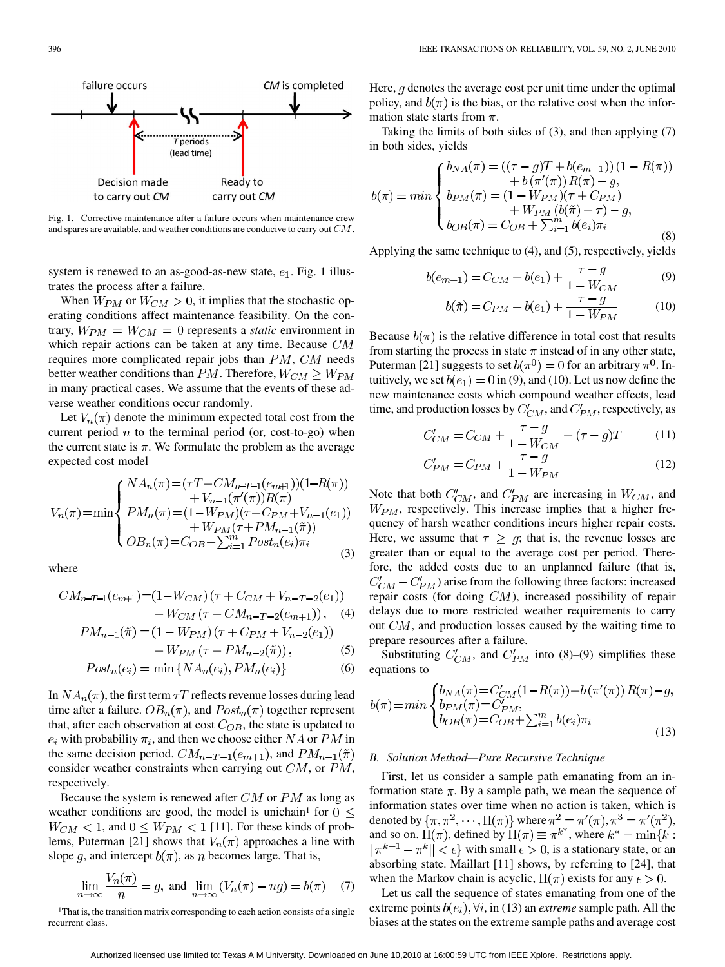

Fig. 1. Corrective maintenance after a failure occurs when maintenance crew and spares are available, and weather conditions are conducive to carry out  $CM$ .

system is renewed to an as-good-as-new state,  $e_1$ . Fig. 1 illustrates the process after a failure.

When  $W_{PM}$  or  $W_{CM} > 0$ , it implies that the stochastic operating conditions affect maintenance feasibility. On the contrary,  $W_{PM} = W_{CM} = 0$  represents a *static* environment in which repair actions can be taken at any time. Because  $CM$ requires more complicated repair jobs than  $PM$ ,  $CM$  needs better weather conditions than PM. Therefore,  $W_{CM} \geq W_{PM}$ in many practical cases. We assume that the events of these adverse weather conditions occur randomly.

Let  $V_n(\pi)$  denote the minimum expected total cost from the current period  $n$  to the terminal period (or, cost-to-go) when the current state is  $\pi$ . We formulate the problem as the average expected cost model

$$
V_n(\pi) = \min \begin{cases} NA_n(\pi) = (\tau T + CM_{n-T-1}(e_{m+1})) (1 - R(\pi)) \\ + V_{n-1}(\pi'(\pi)) R(\pi) \\ PM_n(\pi) = (1 - W_{PM})(\tau + C_{PM} + V_{n-1}(e_1)) \\ + W_{PM}(\tau + PM_{n-1}(\tilde{\pi})) \\ OB_n(\pi) = C_{OB} + \sum_{i=1}^m Post_n(e_i)\pi_i \end{cases}
$$
(3)

where

 $\epsilon$ 

$$
CM_{n-T-1}(e_{m+1}) = (1 - W_{CM})(\tau + C_{CM} + V_{n-T-2}(e_1)) + W_{CM}(\tau + CM_{n-T-2}(e_{m+1})),
$$
 (4)

$$
PM_{n-1}(\tilde{\pi}) = (1 - W_{PM})(\tau + C_{PM} + V_{n-2}(e_1)) + W_{PM}(\tau + PM_{n-2}(\tilde{\pi})),
$$
\n(3)

$$
V_{PM}\left(\tau + PM_{n-2}(\tilde{\pi})\right),\tag{5}
$$

$$
Post_n(e_i) = \min \{NA_n(e_i), PM_n(e_i)\} \tag{6}
$$

In  $NA_n(\pi)$ , the first term  $\tau T$  reflects revenue losses during lead time after a failure.  $OB_n(\pi)$ , and  $Post_n(\pi)$  together represent that, after each observation at cost  $C_{OB}$ , the state is updated to  $e_i$  with probability  $\pi_i$ , and then we choose either  $NA$  or  $PM$  in the same decision period.  $CM_{n-T-1}(e_{m+1})$ , and  $PM_{n-1}(\tilde{\pi})$ consider weather constraints when carrying out  $CM$ , or  $PM$ , respectively.

Because the system is renewed after  $CM$  or  $PM$  as long as weather conditions are good, the model is unichain<sup>1</sup> for  $0 \leq$  $W_{CM}$  < 1, and  $0 \leq W_{PM}$  < 1 [11]. For these kinds of problems, Puterman [21] shows that  $V_n(\pi)$  approaches a line with slope g, and intercept  $b(\pi)$ , as n becomes large. That is,

$$
\lim_{n \to \infty} \frac{V_n(\pi)}{n} = g, \text{ and } \lim_{n \to \infty} (V_n(\pi) - ng) = b(\pi) \quad (7)
$$

<sup>1</sup>That is, the transition matrix corresponding to each action consists of a single recurrent class.

Here,  $q$  denotes the average cost per unit time under the optimal policy, and  $b(\pi)$  is the bias, or the relative cost when the information state starts from  $\pi$ .

Taking the limits of both sides of (3), and then applying (7) in both sides, yields

$$
b(\pi) = min \begin{cases} b_{NA}(\pi) = ((\tau - g)T + b(e_{m+1}))(1 - R(\pi)) \\ + b(\pi'(\pi))R(\pi) - g, \\ b_{PM}(\pi) = (1 - W_{PM})(\tau + C_{PM}) \\ + W_{PM}(b(\tilde{\pi}) + \tau) - g, \\ b_{OB}(\pi) = C_{OB} + \sum_{i=1}^{m} b(e_i)\pi_i \end{cases}
$$
(8)

Applying the same technique to (4), and (5), respectively, yields

$$
b(e_{m+1}) = C_{CM} + b(e_1) + \frac{\tau - g}{1 - W_{CM}}
$$
 (9)

$$
b(\tilde{\pi}) = C_{PM} + b(e_1) + \frac{\tau - g}{1 - W_{PM}}
$$
 (10)

Because  $b(\pi)$  is the relative difference in total cost that results from starting the process in state  $\pi$  instead of in any other state, Puterman [21] suggests to set  $b(\pi^0) = 0$  for an arbitrary  $\pi^0$ . Intuitively, we set  $b(e_1) = 0$  in (9), and (10). Let us now define the new maintenance costs which compound weather effects, lead time, and production losses by  $C'_{CM}$ , and  $C'_{PM}$ , respectively, as

$$
C'_{CM} = C_{CM} + \frac{\tau - g}{1 - W_{CM}} + (\tau - g)T
$$
 (11)

$$
C'_{PM} = C_{PM} + \frac{\tau - g}{1 - W_{PM}}
$$
 (12)

Note that both  $C'_{CM}$ , and  $C'_{PM}$  are increasing in  $W_{CM}$ , and  $W_{PM}$ , respectively. This increase implies that a higher frequency of harsh weather conditions incurs higher repair costs. Here, we assume that  $\tau \geq g$ ; that is, the revenue losses are greater than or equal to the average cost per period. Therefore, the added costs due to an unplanned failure (that is,  $C'_{CM} - C'_{PM}$ ) arise from the following three factors: increased repair costs (for doing  $CM$ ), increased possibility of repair delays due to more restricted weather requirements to carry out  $CM$ , and production losses caused by the waiting time to prepare resources after a failure.

Substituting  $C'_{CM}$ , and  $C'_{PM}$  into (8)–(9) simplifies these equations to

$$
b(\pi) = \min \begin{cases} b_{NA}(\pi) = C'_{CM}(1 - R(\pi)) + b(\pi'(\pi)) R(\pi) - g, \\ b_{PM}(\pi) = C'_{PM}, \\ b_{OB}(\pi) = C_{OB} + \sum_{i=1}^{m} b(e_i) \pi_i \end{cases}
$$
(13)

## *B. Solution Method—Pure Recursive Technique*

First, let us consider a sample path emanating from an information state  $\pi$ . By a sample path, we mean the sequence of information states over time when no action is taken, which is denoted by  $\{\pi, \pi^2, \cdots, \Pi(\pi)\}\$  where  $\pi^2 = \pi'(\pi), \pi^3 = \pi'(\pi^2),$ and so on.  $\Pi(\pi)$ , defined by  $\Pi(\pi) \equiv \pi^{k^*}$ , where  $\|\pi^{k+1} - \pi^k\| < \epsilon$  with small  $\epsilon > 0$ , is a stationary state, or an absorbing state. Maillart [11] shows, by referring to [24], that when the Markov chain is acyclic,  $\Pi(\pi)$  exists for any  $\epsilon > 0$ .

Let us call the sequence of states emanating from one of the extreme points  $b(e_i)$ ,  $\forall i$ , in (13) an *extreme* sample path. All the biases at the states on the extreme sample paths and average cost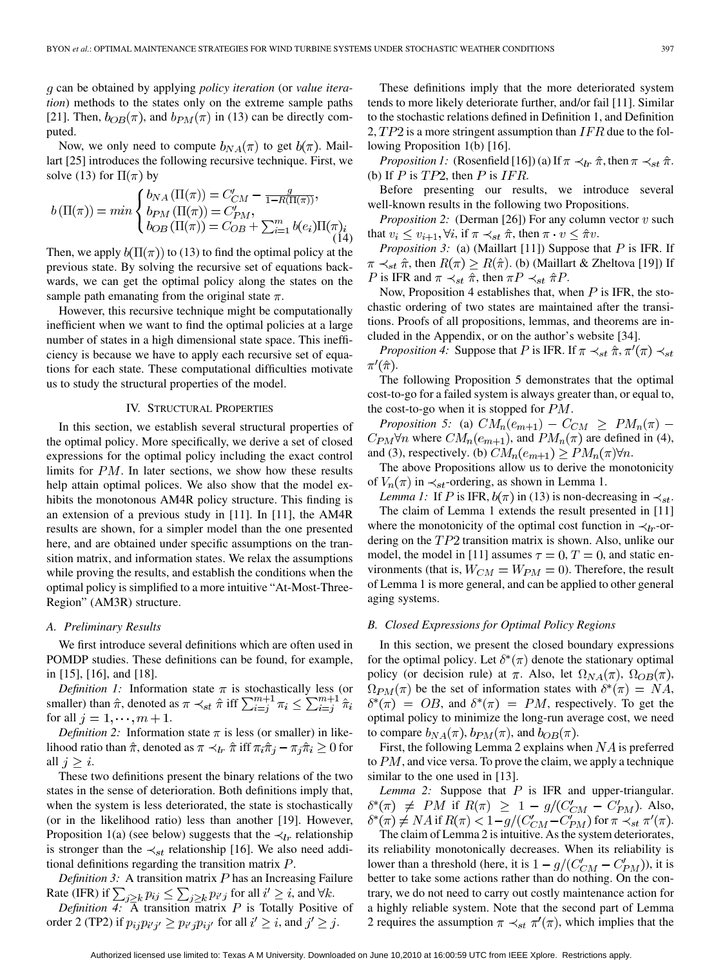can be obtained by applying *policy iteration* (or *value iteration*) methods to the states only on the extreme sample paths [21]. Then,  $b_{OB}(\pi)$ , and  $b_{PM}(\pi)$  in (13) can be directly computed.

Now, we only need to compute  $b_{NA}(\pi)$  to get  $b(\pi)$ . Maillart [25] introduces the following recursive technique. First, we solve (13) for  $\Pi(\pi)$  by

$$
b(\Pi(\pi)) = min \begin{cases} b_{NA}(\Pi(\pi)) = C'_{CM} - \frac{g}{1 - R(\Pi(\pi))}, \\ b_{PM}(\Pi(\pi)) = C'_{PM}, \\ b_{OB}(\Pi(\pi)) = C_{OB} + \sum_{i=1}^{m} b(e_i) \Pi(\pi)_i \\ (14) \end{cases}
$$

Then, we apply  $b(\Pi(\pi))$  to (13) to find the optimal policy at the previous state. By solving the recursive set of equations backwards, we can get the optimal policy along the states on the sample path emanating from the original state  $\pi$ .

However, this recursive technique might be computationally inefficient when we want to find the optimal policies at a large number of states in a high dimensional state space. This inefficiency is because we have to apply each recursive set of equations for each state. These computational difficulties motivate us to study the structural properties of the model.

## IV. STRUCTURAL PROPERTIES

In this section, we establish several structural properties of the optimal policy. More specifically, we derive a set of closed expressions for the optimal policy including the exact control limits for  $PM$ . In later sections, we show how these results help attain optimal polices. We also show that the model exhibits the monotonous AM4R policy structure. This finding is an extension of a previous study in [11]. In [11], the AM4R results are shown, for a simpler model than the one presented here, and are obtained under specific assumptions on the transition matrix, and information states. We relax the assumptions while proving the results, and establish the conditions when the optimal policy is simplified to a more intuitive "At-Most-Three-Region" (AM3R) structure.

#### *A. Preliminary Results*

We first introduce several definitions which are often used in POMDP studies. These definitions can be found, for example, in [15], [16], and [18].

*Definition 1:* Information state  $\pi$  is stochastically less (or smaller) than  $\hat{\pi}$ , denoted as  $\pi \prec_{st} \hat{\pi}$  iff for all  $j = 1, \dots, m + 1$ .

*Definition 2:* Information state  $\pi$  is less (or smaller) in likelihood ratio than  $\hat{\pi}$ , denoted as  $\pi \prec_{lr} \hat{\pi}$  iff  $\pi_i \hat{\pi}_i - \pi_i \hat{\pi}_i \geq 0$  for all  $j \geq i$ .

These two definitions present the binary relations of the two states in the sense of deterioration. Both definitions imply that, when the system is less deteriorated, the state is stochastically (or in the likelihood ratio) less than another [19]. However, Proposition 1(a) (see below) suggests that the  $\prec_{lr}$  relationship is stronger than the  $\prec_{st}$  relationship [16]. We also need additional definitions regarding the transition matrix  $P$ .

*Definition 3:* A transition matrix  $P$  has an Increasing Failure Rate (IFR) if  $\sum_{i>k} p_{ij} \leq \sum_{i>k} p_{i'j}$  for all  $i' \geq i$ , and  $\forall k$ .

*Definition 4:*  $\overline{A}$  transition matrix  $P$  is Totally Positive of order 2 (TP2) if  $p_{ij}p_{i'j'} \geq p_{i'j}p_{ij'}$  for all  $i' \geq i$ , and  $j' \geq j$ .

These definitions imply that the more deteriorated system tends to more likely deteriorate further, and/or fail [11]. Similar to the stochastic relations defined in Definition 1, and Definition 2,  $TP2$  is a more stringent assumption than  $IFR$  due to the following Proposition 1(b) [16].

*Proposition 1:* (Rosenfield [16]) (a) If  $\pi \prec_{lr} \hat{\pi}$ , then  $\pi \prec_{st} \hat{\pi}$ . (b) If  $P$  is  $TP2$ , then  $P$  is  $IFR$ .

Before presenting our results, we introduce several well-known results in the following two Propositions.

*Proposition 2:* (Derman [26]) For any column vector  $v$  such that  $v_i \le v_{i+1}, \forall i$ , if  $\pi \prec_{st} \hat{\pi}$ , then  $\pi \cdot v \le \hat{\pi} v$ .

*Proposition 3:* (a) (Maillart [11]) Suppose that  $P$  is IFR. If  $\pi \prec_{st} \hat{\pi}$ , then  $R(\pi) > R(\hat{\pi})$ . (b) (Maillart & Zheltova [19]) If P is IFR and  $\pi \prec_{st} \hat{\pi}$ , then  $\pi P \prec_{st} \hat{\pi} P$ .

Now, Proposition 4 establishes that, when  $P$  is IFR, the stochastic ordering of two states are maintained after the transitions. Proofs of all propositions, lemmas, and theorems are included in the Appendix, or on the author's website [34].

*Proposition 4:* Suppose that P is IFR. If  $\pi \prec_{st} \hat{\pi}, \pi'(\pi) \prec_{st}$  $\pi'(\hat{\pi})$ .

The following Proposition 5 demonstrates that the optimal cost-to-go for a failed system is always greater than, or equal to, the cost-to-go when it is stopped for  $PM$ .

*Proposition 5:* (a)  $CM_n(e_{m+1}) - C_{CM} \geq PM_n(\pi)$  –  $C_{PM}\forall n$  where  $CM_n(e_{m+1})$ , and  $PM_n(\pi)$  are defined in (4), and (3), respectively. (b)  $CM_n(e_{m+1}) \geq PM_n(\pi) \forall n$ .

The above Propositions allow us to derive the monotonicity of  $V_n(\pi)$  in  $\prec_{st}$ -ordering, as shown in Lemma 1.

*Lemma 1:* If P is IFR,  $b(\pi)$  in (13) is non-decreasing in  $\prec_{st}$ . The claim of Lemma 1 extends the result presented in [11] where the monotonicity of the optimal cost function in  $\prec_{lr}$ -ordering on the  $TP2$  transition matrix is shown. Also, unlike our model, the model in [11] assumes  $\tau = 0$ ,  $T = 0$ , and static environments (that is,  $W_{CM} = W_{PM} = 0$ ). Therefore, the result of Lemma 1 is more general, and can be applied to other general aging systems.

## *B. Closed Expressions for Optimal Policy Regions*

In this section, we present the closed boundary expressions for the optimal policy. Let  $\delta^*(\pi)$  denote the stationary optimal policy (or decision rule) at  $\pi$ . Also, let  $\Omega_{NA}(\pi)$ ,  $\Omega_{OB}(\pi)$ ,  $\Omega_{PM}(\pi)$  be the set of information states with  $\delta^*(\pi) = NA$ ,  $\delta^*(\pi) = OB$ , and  $\delta^*(\pi) = PM$ , respectively. To get the optimal policy to minimize the long-run average cost, we need to compare  $b_{NA}(\pi)$ ,  $b_{PM}(\pi)$ , and  $b_{OB}(\pi)$ .

First, the following Lemma 2 explains when  $NA$  is preferred to  $PM$ , and vice versa. To prove the claim, we apply a technique similar to the one used in [13].

*Lemma 2:* Suppose that  $P$  is IFR and upper-triangular. if  $R(\pi) \geq 1 - g/(C'_{CM} - C'_{PM})$ . Also, if  $R(\pi) < 1 - g/(C'_{CM} - C'_{PM})$  for  $\pi \prec_{st} \pi'(\pi)$ .

The claim of Lemma 2 is intuitive. As the system deteriorates, its reliability monotonically decreases. When its reliability is lower than a threshold (here, it is  $1 - g/(C'_{CM} - C'_{PM})$ ), it is better to take some actions rather than do nothing. On the contrary, we do not need to carry out costly maintenance action for a highly reliable system. Note that the second part of Lemma 2 requires the assumption  $\pi \prec_{st} \pi'(\pi)$ , which implies that the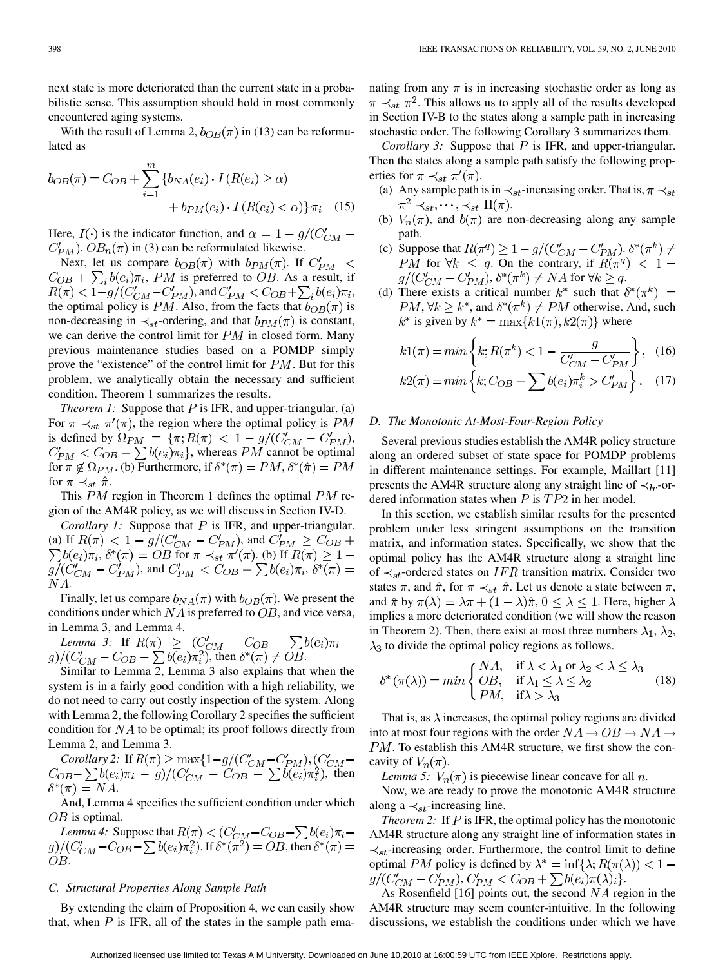next state is more deteriorated than the current state in a probabilistic sense. This assumption should hold in most commonly encountered aging systems.

With the result of Lemma 2,  $b_{OB}(\pi)$  in (13) can be reformulated as

$$
b_{OB}(\pi) = C_{OB} + \sum_{i=1}^{m} \{b_{NA}(e_i) \cdot I(R(e_i) \ge \alpha) + b_{PM}(e_i) \cdot I(R(e_i) < \alpha)\} \pi_i \quad (15)
$$

Here,  $I(\cdot)$  is the indicator function, and  $\alpha = 1 - g/(C_{CM} C_{PM}$ ).  $OB_n(\pi)$  in (3) can be reformulated likewise.

Next, let us compare  $b_{OB}(\pi)$  with  $b_{PM}(\pi)$ . If  $C'_{PM} <$  $C_{OB} + \sum_i b(e_i) \pi_i$ , PM is preferred to OB. As a result, if  $R(\pi) < \frac{1}{1-g}/(\frac{C'_{CM} - C'_{PM}}{P_M})$ , and  $C'_{PM} < C_{OB} + \sum_i b(e_i) \pi_i$ , the optimal policy is PM. Also, from the facts that  $b_{OB}(\pi)$  is non-decreasing in  $\prec_{st}$ -ordering, and that  $b_{PM}(\pi)$  is constant, we can derive the control limit for  $PM$  in closed form. Many previous maintenance studies based on a POMDP simply prove the "existence" of the control limit for  $PM$ . But for this problem, we analytically obtain the necessary and sufficient condition. Theorem 1 summarizes the results.

*Theorem 1:* Suppose that  $P$  is IFR, and upper-triangular. (a) For  $\pi \prec_{st} \pi'(\pi)$ , the region where the optimal policy is PM is defined by  $\Omega_{PM} = {\pi; R(\pi) < 1 - g/(C'_{CM} - C'_{PM})},$  $C'_{PM} < C_{OB} + \sum b(e_i)\pi_i$ , whereas PM cannot be optimal for  $\pi \notin \Omega_{PM}$ . (b) Furthermore, if  $\delta^*(\pi) = PM$ ,  $\delta^*(\hat{\pi}) = PM$ for  $\pi \prec_{st} \hat{\pi}$ .

This  $PM$  region in Theorem 1 defines the optimal  $PM$  region of the AM4R policy, as we will discuss in Section IV-D.

*Corollary 1:* Suppose that  $P$  is IFR, and upper-triangular. (a) If  $R(\pi) < 1 - g/(C_{CM}' - C_{PM}')$ , and ,  $\delta^*(\pi) = OB$  for  $\pi \prec_{st} \pi'(\pi)$ . (b) If , and  $C_{PM}' < C_{OB} + \sum b(e_i)\pi_i$ ,  $NA.$ 

Finally, let us compare  $b_{NA}(\pi)$  with  $b_{OB}(\pi)$ . We present the conditions under which  $NA$  is preferred to  $OB$ , and vice versa, in Lemma 3, and Lemma 4.

*Lemma 3:* If , then  $\delta^*(\pi) \neq OB$ .

Similar to Lemma 2, Lemma 3 also explains that when the system is in a fairly good condition with a high reliability, we do not need to carry out costly inspection of the system. Along with Lemma 2, the following Corollary 2 specifies the sufficient condition for  $NA$  to be optimal; its proof follows directly from Lemma 2, and Lemma 3.

*Corollary 2:* If , then  $\delta^*(\pi) = NA.$ 

And, Lemma 4 specifies the sufficient condition under which  $OB$  is optimal.

*Lemma 4:* Suppose that . If  $\delta^*(\pi^2) = OB$ , then OB.

# *C. Structural Properties Along Sample Path*

By extending the claim of Proposition 4, we can easily show that, when  $P$  is IFR, all of the states in the sample path ema-

nating from any  $\pi$  is in increasing stochastic order as long as  $\pi \prec_{st} \pi^2$ . This allows us to apply all of the results developed in Section IV-B to the states along a sample path in increasing stochastic order. The following Corollary 3 summarizes them.

*Corollary 3:* Suppose that  $P$  is IFR, and upper-triangular. Then the states along a sample path satisfy the following properties for  $\pi \prec_{st} \pi'(\pi)$ .

- (a) Any sample path is in  $\prec_{st}$ -increasing order. That is,  $\pi \prec_{st}$  $\pi^2 \prec_{st}, \cdots, \prec_{st} \Pi(\pi)$ .
- (b)  $V_n(\pi)$ , and  $b(\pi)$  are non-decreasing along any sample path.
- (c) Suppose that  $R(\pi^q) \geq 1 g/(C'_{CM} C'_{PM})$ .  $\delta^*(\pi^k) \neq$ for  $\forall k \leq q$ . On the contrary, if ,  $\delta^*(\pi^k) \neq NA$  for  $\forall k \geq q$ .
- (d) There exists a critical number  $k^*$  such that  $\delta^*(\pi^k)$  =  $PM, \forall k \geq k^*$ , and  $\delta^*(\pi^k) \neq PM$  otherwise. And, such  $k^*$  is given by  $k^* = \max\{k1(\pi), k2(\pi)\}\$  where

$$
k1(\pi) = \min\left\{k; R(\pi^k) < 1 - \frac{g}{C'_{CM} - C'_{PM}}\right\}, \quad (16)
$$
\n
$$
k2(\pi) = \min\left\{k; C_{OB} + \sum b(e_i)\pi_i^k > C'_{PM}\right\}. \quad (17)
$$

## *D. The Monotonic At-Most-Four-Region Policy*

Several previous studies establish the AM4R policy structure along an ordered subset of state space for POMDP problems in different maintenance settings. For example, Maillart [11] presents the AM4R structure along any straight line of  $\prec_{lr}$ -ordered information states when  $P$  is  $TP2$  in her model.

In this section, we establish similar results for the presented problem under less stringent assumptions on the transition matrix, and information states. Specifically, we show that the optimal policy has the AM4R structure along a straight line of  $\prec_{st}$ -ordered states on IFR transition matrix. Consider two states  $\pi$ , and  $\hat{\pi}$ , for  $\pi \prec_{st} \hat{\pi}$ . Let us denote a state between  $\pi$ , and  $\hat{\pi}$  by  $\pi(\lambda) = \lambda \pi + (1 - \lambda)\hat{\pi}, 0 \leq \lambda \leq 1$ . Here, higher  $\lambda$ implies a more deteriorated condition (we will show the reason in Theorem 2). Then, there exist at most three numbers  $\lambda_1$ ,  $\lambda_2$ ,  $\lambda_3$  to divide the optimal policy regions as follows.

$$
\delta^*(\pi(\lambda)) = \min\begin{cases} NA, & \text{if } \lambda < \lambda_1 \text{ or } \lambda_2 < \lambda \le \lambda_3 \\ OB, & \text{if } \lambda_1 \le \lambda \le \lambda_2 \\ PM, & \text{if } \lambda > \lambda_3 \end{cases} (18)
$$

That is, as  $\lambda$  increases, the optimal policy regions are divided into at most four regions with the order  $NA \rightarrow OB \rightarrow NA \rightarrow$  $PM$ . To establish this AM4R structure, we first show the concavity of  $V_n(\pi)$ .

*Lemma 5:*  $V_n(\pi)$  is piecewise linear concave for all n.

Now, we are ready to prove the monotonic AM4R structure along a  $\prec_{st}$ -increasing line.

*Theorem 2:* If  $P$  is IFR, the optimal policy has the monotonic AM4R structure along any straight line of information states in  $\prec_{st}$ -increasing order. Furthermore, the control limit to define optimal PM policy is defined by  $\lambda^* = \inf{\lambda; R(\pi(\lambda))} < 1$  –  $g/(C'_{CM} - C'_{PM}), C'_{PM} < C_{OB} + \sum b(e_i)\pi(\lambda)_i$ .

As Rosenfield [16] points out, the second  $NA$  region in the AM4R structure may seem counter-intuitive. In the following discussions, we establish the conditions under which we have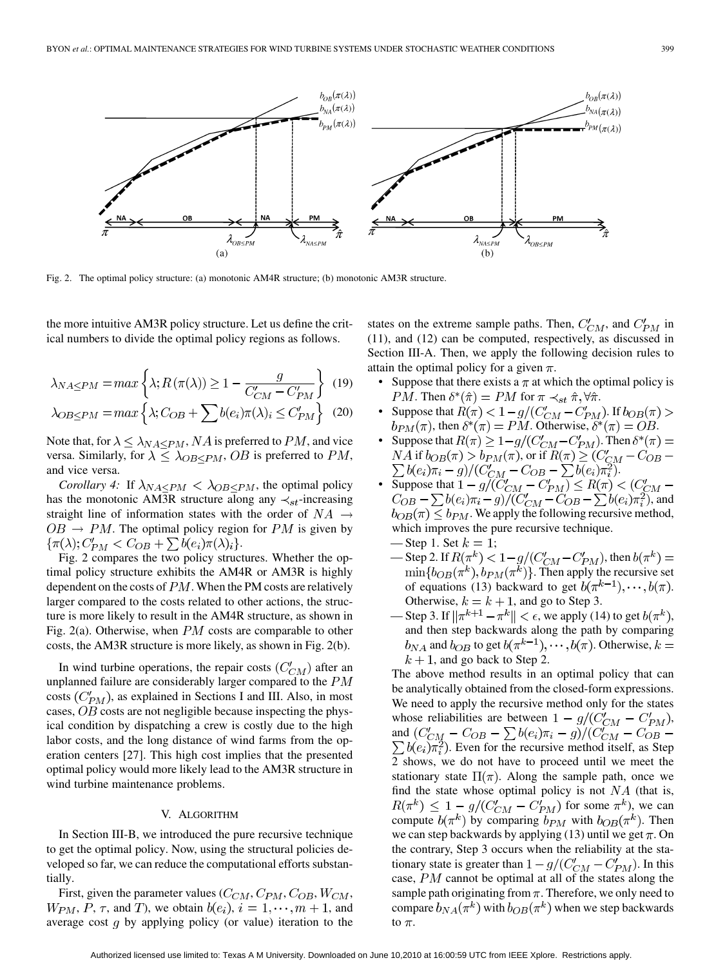

Fig. 2. The optimal policy structure: (a) monotonic AM4R structure; (b) monotonic AM3R structure.

the more intuitive AM3R policy structure. Let us define the critical numbers to divide the optimal policy regions as follows.

$$
\lambda_{NA \le PM} = \max \left\{ \lambda; R(\pi(\lambda)) \ge 1 - \frac{g}{C'_{CM} - C'_{PM}} \right\} \tag{19}
$$

$$
\lambda_{OB \le PM} = \max \left\{ \lambda; C_{OB} + \sum b(e_i) \pi(\lambda)_i \le C'_{PM} \right\} \tag{20}
$$

Note that, for  $\lambda \leq \lambda_{NA} \leq PM$ , NA is preferred to PM, and vice versa. Similarly, for  $\lambda \leq \lambda_{OB < PM}$ , OB is preferred to PM, and vice versa.

*Corollary 4:* If  $\lambda_{NA\leq PM}$  <  $\lambda_{OB\leq PM}$ , the optimal policy has the monotonic AM3R structure along any  $\prec_{st}$ -increasing straight line of information states with the order of  $NA \rightarrow$  $OB \rightarrow PM$ . The optimal policy region for PM is given by  $\{\pi(\lambda): C'_{PM} < C_{OB} + \sum b(e_i)\pi(\lambda)_i\}.$ 

Fig. 2 compares the two policy structures. Whether the optimal policy structure exhibits the AM4R or AM3R is highly dependent on the costs of  $PM$ . When the PM costs are relatively larger compared to the costs related to other actions, the structure is more likely to result in the AM4R structure, as shown in Fig. 2(a). Otherwise, when  $PM$  costs are comparable to other costs, the AM3R structure is more likely, as shown in Fig. 2(b).

In wind turbine operations, the repair costs  $(C_{CM}')$  after an unplanned failure are considerably larger compared to the  $PM$ costs  $(C_{PM}')$ , as explained in Sections I and III. Also, in most cases,  $OB$  costs are not negligible because inspecting the physical condition by dispatching a crew is costly due to the high labor costs, and the long distance of wind farms from the operation centers [27]. This high cost implies that the presented optimal policy would more likely lead to the AM3R structure in wind turbine maintenance problems.

#### V. ALGORITHM

In Section III-B, we introduced the pure recursive technique to get the optimal policy. Now, using the structural policies developed so far, we can reduce the computational efforts substantially.

First, given the parameter values  $(C_{CM}, C_{PM}, C_{OB}, W_{CM},$  $W_{PM}, P, \tau$ , and T), we obtain  $b(e_i), i = 1, \dots, m + 1$ , and average cost  $q$  by applying policy (or value) iteration to the states on the extreme sample paths. Then,  $C'_{CM}$ , and  $C'_{PM}$  in (11), and (12) can be computed, respectively, as discussed in Section III-A. Then, we apply the following decision rules to attain the optimal policy for a given  $\pi$ .

- Suppose that there exists a  $\pi$  at which the optimal policy is *PM*. Then  $\delta^*(\hat{\pi}) = PM$  for  $\pi \prec_{st} \hat{\pi}, \forall \hat{\pi}$ .
- Suppose that  $R(\pi) < 1 g/(C'_{CM} C'_{PM})$ . If  $b_{OB}(\pi) >$  $b_{PM}(\pi)$ , then  $\delta^*(\pi) = PM$ . Otherwise,  $\delta^*(\pi) = OB$ .
- Suppose that  $R(\pi) \geq 1 g/(C'_{CM} C'_{PM})$ . Then  $\delta^*(\pi) =$ NA if  $b_{OB}(\pi) > b_{PM}(\pi)$ , or if  $R(\pi) \geq (C'_{GM} - C_{OB} -$ .
- Suppose that , and  $b_{OB}(\pi) \le b_{PM}$ . We apply the following recursive method, which improves the pure recursive technique.
	- Step 1. Set  $k = 1$ ;
	- Step 2. If  $R(\pi^k) < 1-g/(C'_{CM}-C'_{PM})$ , then  $b(\pi^k)$  =  $\min\{b_{OB}(\pi^k), b_{PM}(\pi^k)\}\.$  Then apply the recursive set of equations (13) backward to get  $b(\pi^{k-1}), \dots, b(\pi)$ . Otherwise,  $k = k + 1$ , and go to Step 3.
	- Step 3. If  $\|\pi^{k+1} \pi^k\| < \epsilon$ , we apply (14) to get  $b(\pi^k)$ , and then step backwards along the path by comparing  $b_{NA}$  and  $b_{OB}$  to get  $b(\pi^{k-1}), \dots, b(\pi)$ . Otherwise,  $k =$  $k + 1$ , and go back to Step 2.

The above method results in an optimal policy that can be analytically obtained from the closed-form expressions. We need to apply the recursive method only for the states whose reliabilities are between  $1 - g/(C'_{CM} - C'_{PM})$ , and . Even for the recursive method itself, as Step 2 shows, we do not have to proceed until we meet the stationary state  $\Pi(\pi)$ . Along the sample path, once we find the state whose optimal policy is not  $NA$  (that is,  $R(\pi^k) \leq 1 - g/(C'_{CM} - C'_{PM})$  for some  $\pi^k$ ), we can compute  $b(\pi^k)$  by comparing  $b_{PM}$  with  $b_{OB}(\pi^k)$ . Then we can step backwards by applying (13) until we get  $\pi$ . On the contrary, Step 3 occurs when the reliability at the stationary state is greater than  $1 - g/(C'_{CM} - C'_{PM})$ . In this case,  $PM$  cannot be optimal at all of the states along the sample path originating from  $\pi$ . Therefore, we only need to compare  $b_{NA}(\pi^k)$  with  $b_{OB}(\pi^k)$  when we step backwards to  $\pi$ .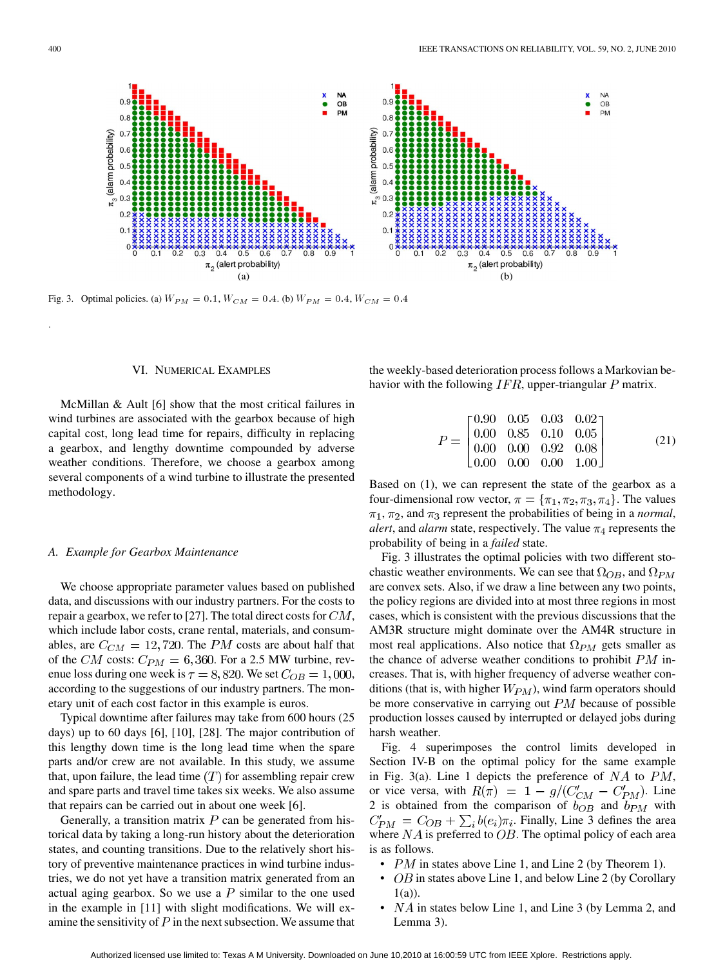

Fig. 3. Optimal policies. (a)  $W_{PM} = 0.1, W_{CM} = 0.4$ . (b)  $W_{PM} = 0.4, W_{CM} = 0.4$ 

## VI. NUMERICAL EXAMPLES

McMillan & Ault [6] show that the most critical failures in wind turbines are associated with the gearbox because of high capital cost, long lead time for repairs, difficulty in replacing a gearbox, and lengthy downtime compounded by adverse weather conditions. Therefore, we choose a gearbox among several components of a wind turbine to illustrate the presented methodology.

#### *A. Example for Gearbox Maintenance*

We choose appropriate parameter values based on published data, and discussions with our industry partners. For the costs to repair a gearbox, we refer to [27]. The total direct costs for  $CM$ , which include labor costs, crane rental, materials, and consumables, are  $C_{CM} = 12,720$ . The PM costs are about half that of the CM costs:  $C_{PM} = 6{,}360$ . For a 2.5 MW turbine, revenue loss during one week is  $\tau = 8,820$ . We set  $C_{OB} = 1,000$ , according to the suggestions of our industry partners. The monetary unit of each cost factor in this example is euros.

Typical downtime after failures may take from 600 hours (25 days) up to 60 days [6], [10], [28]. The major contribution of this lengthy down time is the long lead time when the spare parts and/or crew are not available. In this study, we assume that, upon failure, the lead time  $(T)$  for assembling repair crew and spare parts and travel time takes six weeks. We also assume that repairs can be carried out in about one week [6].

Generally, a transition matrix  $P$  can be generated from historical data by taking a long-run history about the deterioration states, and counting transitions. Due to the relatively short history of preventive maintenance practices in wind turbine industries, we do not yet have a transition matrix generated from an actual aging gearbox. So we use a  $P$  similar to the one used in the example in [11] with slight modifications. We will examine the sensitivity of  $P$  in the next subsection. We assume that

the weekly-based deterioration process follows a Markovian behavior with the following  $IFR$ , upper-triangular  $P$  matrix.

$$
P = \begin{bmatrix} 0.90 & 0.05 & 0.03 & 0.02 \\ 0.00 & 0.85 & 0.10 & 0.05 \\ 0.00 & 0.00 & 0.92 & 0.08 \\ 0.00 & 0.00 & 0.00 & 1.00 \end{bmatrix}
$$
(21)

Based on (1), we can represent the state of the gearbox as a four-dimensional row vector,  $\pi = {\pi_1, \pi_2, \pi_3, \pi_4}$ . The values  $\pi_1$ ,  $\pi_2$ , and  $\pi_3$  represent the probabilities of being in a *normal*, *alert*, and *alarm* state, respectively. The value  $\pi_4$  represents the probability of being in a *failed* state.

Fig. 3 illustrates the optimal policies with two different stochastic weather environments. We can see that  $\Omega_{OB}$ , and  $\Omega_{PM}$ are convex sets. Also, if we draw a line between any two points, the policy regions are divided into at most three regions in most cases, which is consistent with the previous discussions that the AM3R structure might dominate over the AM4R structure in most real applications. Also notice that  $\Omega_{PM}$  gets smaller as the chance of adverse weather conditions to prohibit  $PM$  increases. That is, with higher frequency of adverse weather conditions (that is, with higher  $W_{PM}$ ), wind farm operators should be more conservative in carrying out  $PM$  because of possible production losses caused by interrupted or delayed jobs during harsh weather.

Fig. 4 superimposes the control limits developed in Section IV-B on the optimal policy for the same example in Fig. 3(a). Line 1 depicts the preference of  $NA$  to  $PM$ , or vice versa, with  $R(\pi) = 1 - g/(C'_{CM} - C'_{PM})$ . Line 2 is obtained from the comparison of  $b_{OB}$  and  $b_{PM}$  with  $C'_{PM} = C_{OB} + \sum_i b(e_i) \pi_i$ . Finally, Line 3 defines the area where  $NA$  is preferred to  $OB$ . The optimal policy of each area is as follows.

- $PM$  in states above Line 1, and Line 2 (by Theorem 1).
- $OB$  in states above Line 1, and below Line 2 (by Corollary 1(a)).
- $NA$  in states below Line 1, and Line 3 (by Lemma 2, and Lemma 3).

.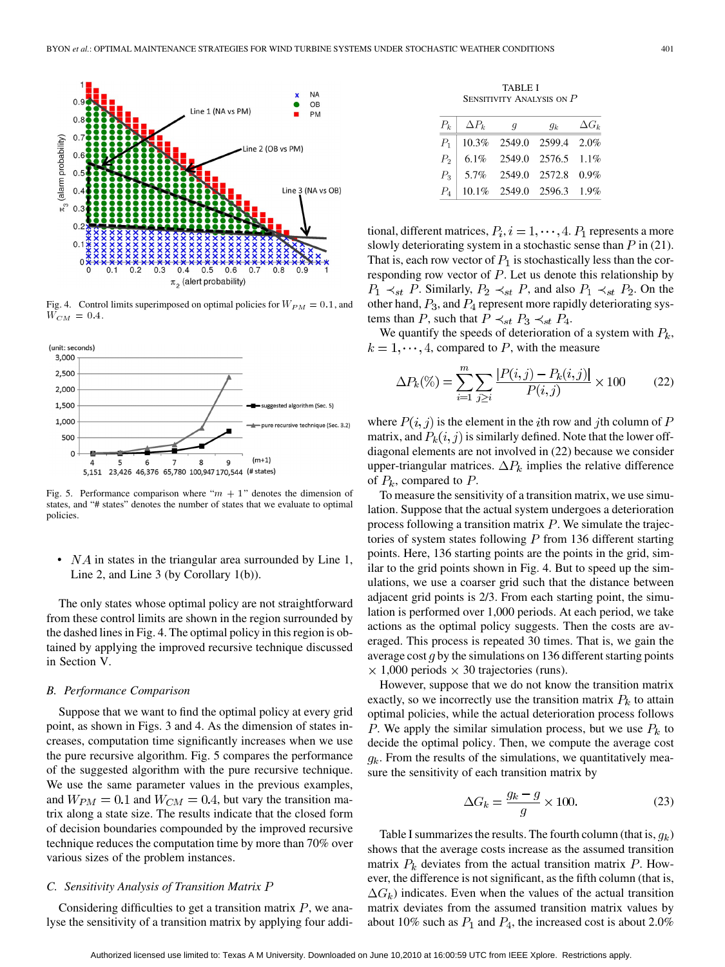

Fig. 4. Control limits superimposed on optimal policies for  $W_{PM} = 0.1$ , and  $W_{CM} = 0.4$ .



Fig. 5. Performance comparison where " $m + 1$ " denotes the dimension of states, and "# states" denotes the number of states that we evaluate to optimal policies.

•  $NA$  in states in the triangular area surrounded by Line 1, Line 2, and Line 3 (by Corollary 1(b)).

The only states whose optimal policy are not straightforward from these control limits are shown in the region surrounded by the dashed lines in Fig. 4. The optimal policy in this region is obtained by applying the improved recursive technique discussed in Section V.

## *B. Performance Comparison*

Suppose that we want to find the optimal policy at every grid point, as shown in Figs. 3 and 4. As the dimension of states increases, computation time significantly increases when we use the pure recursive algorithm. Fig. 5 compares the performance of the suggested algorithm with the pure recursive technique. We use the same parameter values in the previous examples, and  $W_{PM} = 0.1$  and  $W_{CM} = 0.4$ , but vary the transition matrix along a state size. The results indicate that the closed form of decision boundaries compounded by the improved recursive technique reduces the computation time by more than 70% over various sizes of the problem instances.

# *C. Sensitivity Analysis of Transition Matrix*

Considering difficulties to get a transition matrix  $P$ , we analyse the sensitivity of a transition matrix by applying four addi-

TABLE I SENSITIVITY ANALYSIS ON  $P$ 

|       | $P_k$ $\Delta P_k$ | $\boldsymbol{q}$                 | $g_k$ | $\Delta G_k$ |
|-------|--------------------|----------------------------------|-------|--------------|
|       |                    | $P_1$ 10.3% 2549.0 2599.4 2.0%   |       |              |
|       |                    | $P_2$   6.1% 2549.0 2576.5 1.1%  |       |              |
| $P_3$ |                    | 5.7% 2549.0 2572.8 0.9%          |       |              |
|       |                    | $P_4$   10.1% 2549.0 2596.3 1.9% |       |              |

tional, different matrices,  $P_i$ ,  $i = 1, \dots, 4$ .  $P_1$  represents a more slowly deteriorating system in a stochastic sense than  $P$  in (21). That is, each row vector of  $P_1$  is stochastically less than the corresponding row vector of  $P$ . Let us denote this relationship by  $P_1 \prec_{st} P$ . Similarly,  $P_2 \prec_{st} P$ , and also  $P_1 \prec_{st} P_2$ . On the other hand,  $P_3$ , and  $P_4$  represent more rapidly deteriorating systems than P, such that  $P \prec_{st} P_3 \prec_{st} P_4$ .

We quantify the speeds of deterioration of a system with  $P_k$ ,  $k = 1, \dots, 4$ , compared to P, with the measure

$$
\Delta P_k(\%) = \sum_{i=1}^m \sum_{j \ge i} \frac{|P(i,j) - P_k(i,j)|}{P(i,j)} \times 100 \tag{22}
$$

where  $P(i, j)$  is the element in the *i*th row and *j*th column of P matrix, and  $P_k(i, j)$  is similarly defined. Note that the lower offdiagonal elements are not involved in (22) because we consider upper-triangular matrices.  $\Delta P_k$  implies the relative difference of  $P_k$ , compared to  $P$ .

To measure the sensitivity of a transition matrix, we use simulation. Suppose that the actual system undergoes a deterioration process following a transition matrix  $P$ . We simulate the trajectories of system states following  $P$  from 136 different starting points. Here, 136 starting points are the points in the grid, similar to the grid points shown in Fig. 4. But to speed up the simulations, we use a coarser grid such that the distance between adjacent grid points is 2/3. From each starting point, the simulation is performed over 1,000 periods. At each period, we take actions as the optimal policy suggests. Then the costs are averaged. This process is repeated 30 times. That is, we gain the average cost  $q$  by the simulations on 136 different starting points  $\times$  1,000 periods  $\times$  30 trajectories (runs).

However, suppose that we do not know the transition matrix exactly, so we incorrectly use the transition matrix  $P_k$  to attain optimal policies, while the actual deterioration process follows P. We apply the similar simulation process, but we use  $P_k$  to decide the optimal policy. Then, we compute the average cost  $g_k$ . From the results of the simulations, we quantitatively measure the sensitivity of each transition matrix by

$$
\Delta G_k = \frac{g_k - g}{g} \times 100. \tag{23}
$$

Table I summarizes the results. The fourth column (that is,  $q_k$ ) shows that the average costs increase as the assumed transition matrix  $P_k$  deviates from the actual transition matrix  $P$ . However, the difference is not significant, as the fifth column (that is,  $\Delta G_k$ ) indicates. Even when the values of the actual transition matrix deviates from the assumed transition matrix values by about 10% such as  $P_1$  and  $P_4$ , the increased cost is about 2.0%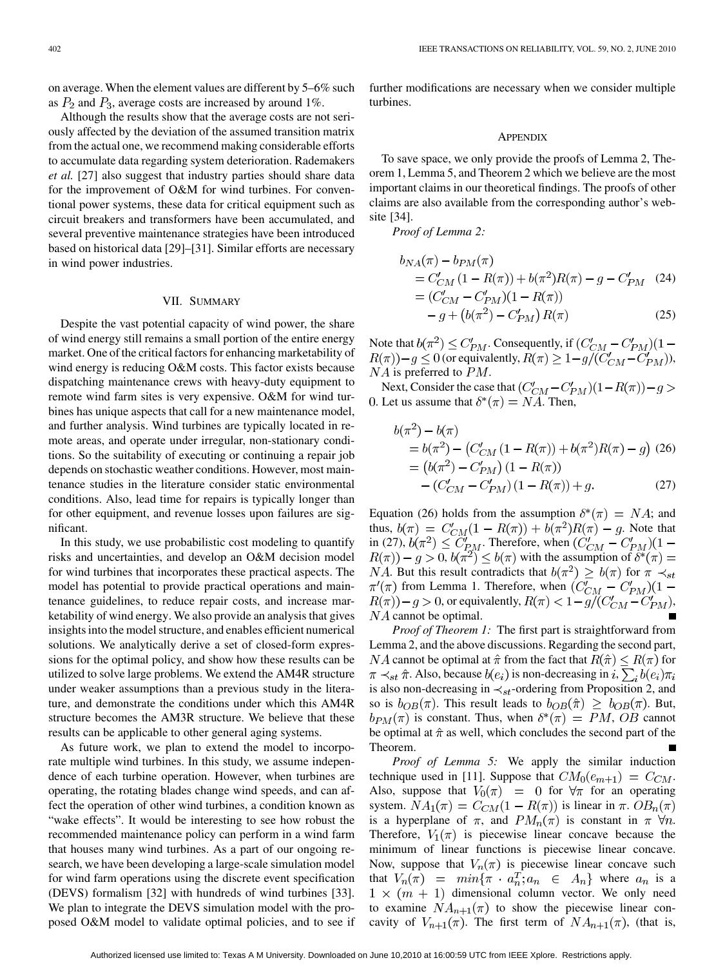on average. When the element values are different by 5–6% such as  $P_2$  and  $P_3$ , average costs are increased by around 1%.

Although the results show that the average costs are not seriously affected by the deviation of the assumed transition matrix from the actual one, we recommend making considerable efforts to accumulate data regarding system deterioration. Rademakers *et al.* [27] also suggest that industry parties should share data for the improvement of O&M for wind turbines. For conventional power systems, these data for critical equipment such as circuit breakers and transformers have been accumulated, and several preventive maintenance strategies have been introduced based on historical data [29]–[31]. Similar efforts are necessary in wind power industries.

# VII. SUMMARY

Despite the vast potential capacity of wind power, the share of wind energy still remains a small portion of the entire energy market. One of the critical factors for enhancing marketability of wind energy is reducing O&M costs. This factor exists because dispatching maintenance crews with heavy-duty equipment to remote wind farm sites is very expensive. O&M for wind turbines has unique aspects that call for a new maintenance model, and further analysis. Wind turbines are typically located in remote areas, and operate under irregular, non-stationary conditions. So the suitability of executing or continuing a repair job depends on stochastic weather conditions. However, most maintenance studies in the literature consider static environmental conditions. Also, lead time for repairs is typically longer than for other equipment, and revenue losses upon failures are significant.

In this study, we use probabilistic cost modeling to quantify risks and uncertainties, and develop an O&M decision model for wind turbines that incorporates these practical aspects. The model has potential to provide practical operations and maintenance guidelines, to reduce repair costs, and increase marketability of wind energy. We also provide an analysis that gives insights into the model structure, and enables efficient numerical solutions. We analytically derive a set of closed-form expressions for the optimal policy, and show how these results can be utilized to solve large problems. We extend the AM4R structure under weaker assumptions than a previous study in the literature, and demonstrate the conditions under which this AM4R structure becomes the AM3R structure. We believe that these results can be applicable to other general aging systems.

As future work, we plan to extend the model to incorporate multiple wind turbines. In this study, we assume independence of each turbine operation. However, when turbines are operating, the rotating blades change wind speeds, and can affect the operation of other wind turbines, a condition known as "wake effects". It would be interesting to see how robust the recommended maintenance policy can perform in a wind farm that houses many wind turbines. As a part of our ongoing research, we have been developing a large-scale simulation model for wind farm operations using the discrete event specification (DEVS) formalism [32] with hundreds of wind turbines [33]. We plan to integrate the DEVS simulation model with the proposed O&M model to validate optimal policies, and to see if further modifications are necessary when we consider multiple turbines.

#### APPENDIX

To save space, we only provide the proofs of Lemma 2, Theorem 1, Lemma 5, and Theorem 2 which we believe are the most important claims in our theoretical findings. The proofs of other claims are also available from the corresponding author's website [34].

*Proof of Lemma 2:*

$$
b_{NA}(\pi) - b_{PM}(\pi)
$$
  
=  $C'_{CM}$  (1 -  $R(\pi)$ ) +  $b(\pi^2)R(\pi) - g - C'_{PM}$  (24)  
=  $(C'_{CM} - C'_{PM})(1 - R(\pi))$   
-  $g + (b(\pi^2) - C'_{PM}) R(\pi)$  (25)

Note that  $b(\pi^2) \leq C'_{PM}$ . Consequently, if (or equivalently,  $R(\pi) \geq 1 - g/(C'_{CM} - C'_{PM})$ ),  $NA$  is preferred to  $PM$ .

Next, Consider the case that  $(C'_{CM} - C'_{PM})(1 - R(\pi)) - g >$ 0. Let us assume that  $\delta^*(\pi) = NA$ . Then,

$$
b(\pi^2) - b(\pi)
$$
  
=  $b(\pi^2) - (C'_{CM}(1 - R(\pi)) + b(\pi^2)R(\pi) - g)$  (26)  
=  $(b(\pi^2) - C'_{PM})(1 - R(\pi))$   
-  $(C'_{CM} - C'_{PM})(1 - R(\pi)) + g.$  (27)

Equation (26) holds from the assumption  $\delta^*(\pi) = NA$ ; and thus,  $b(\pi) = C'_{CM}(1 - R(\pi)) + b(\pi^2)R(\pi) - g$ . Note that in (27),  $b(\pi^2) \leq C_{PM}$ . Therefore, when  $(C_{CM}' - C_{PM}')$  $(1 R(\pi) - g > 0$ ,  $b(\pi^2) \le b(\pi)$  with the assumption of  $\delta^*(\pi) =$ . But this result contradicts that  $b(\pi^2) \geq b(\pi)$  for from Lemma 1. Therefore, when , or equivalently,  $R(\pi) < 1 - g/(C'_{CM} - C'_{PM})$ ,  $NA$  cannot be optimal.

*Proof of Theorem 1:* The first part is straightforward from Lemma 2, and the above discussions. Regarding the second part, *NA* cannot be optimal at  $\hat{\pi}$  from the fact that  $R(\hat{\pi}) \leq R(\pi)$  for  $\pi \prec_{st} \hat{\pi}$ . Also, because  $b(e_i)$  is non-decreasing in i,  $\sum_i b(e_i) \pi_i$ is also non-decreasing in  $\prec_{st}$ -ordering from Proposition 2, and so is  $b_{OB}(\pi)$ . This result leads to  $b_{OB}(\hat{\pi}) \geq b_{OB}(\pi)$ . But,  $b_{PM}(\pi)$  is constant. Thus, when  $\delta^*(\pi) = PM$ , OB cannot be optimal at  $\hat{\pi}$  as well, which concludes the second part of the Theorem.

*Proof of Lemma 5:* We apply the similar induction technique used in [11]. Suppose that  $CM_0(e_{m+1}) = C_{CM}$ . Also, suppose that  $V_0(\pi) = 0$  for  $\forall \pi$  for an operating system.  $NA_1(\pi) = C_{CM}(1 - R(\pi))$  is linear in  $\pi$ .  $OB_n(\pi)$ is a hyperplane of  $\pi$ , and  $PM_n(\pi)$  is constant in  $\pi$   $\forall n$ . Therefore,  $V_1(\pi)$  is piecewise linear concave because the minimum of linear functions is piecewise linear concave. Now, suppose that  $V_n(\pi)$  is piecewise linear concave such that  $V_n(\pi) = min{\pi \cdot a_n^T; a_n \in A_n}$  where  $a_n$  is a  $1 \times (m + 1)$  dimensional column vector. We only need to examine  $NA_{n+1}(\pi)$  to show the piecewise linear concavity of  $V_{n+1}(\pi)$ . The first term of  $NA_{n+1}(\pi)$ , (that is,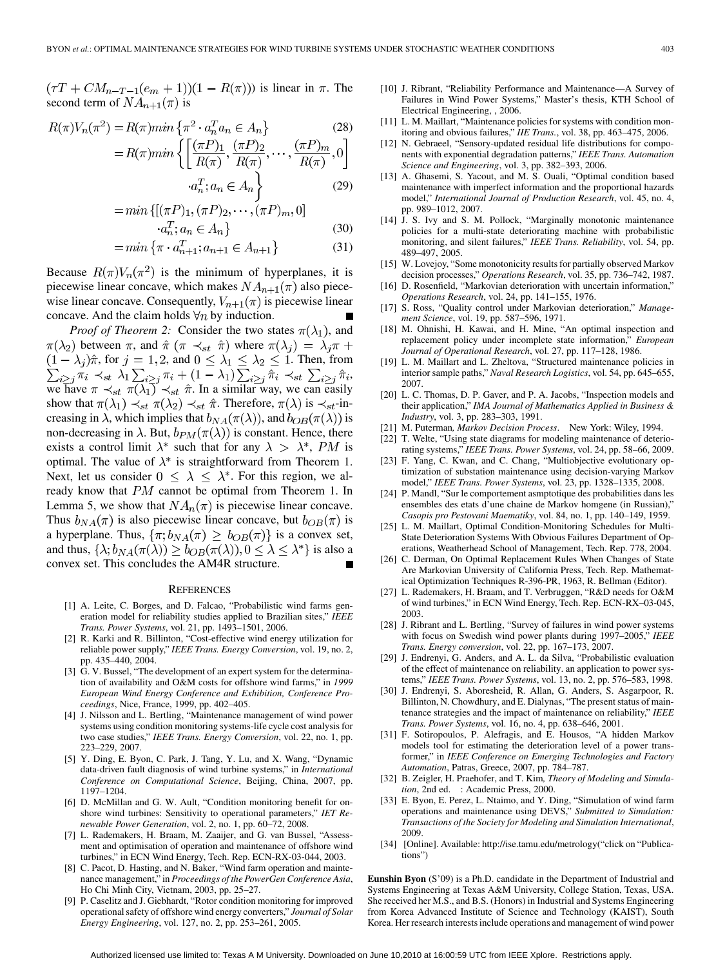$(\tau T + CM_{n-T-1}(e_m + 1))(1 - R(\pi))$  is linear in  $\pi$ . The second term of  $NA_{n+1}(\pi)$  is

$$
R(\pi)V_n(\pi^2) = R(\pi)\min\left\{\pi^2 \cdot a_n^T a_n \in A_n\right\}
$$
\n
$$
(1-\mathcal{D}) \quad (\pi \mathcal{D}) \quad (\pi \mathcal{D}) \quad (\pi \mathcal{D}) \quad (28)
$$

$$
=R(\pi)\min\left\{\left[\frac{\binom{n}{1}\prod_{1},\binom{n}{1}\prod_{2}}{R(\pi)},\cdots,\frac{\binom{n}{1}\prod_{m}}{R(\pi)},0\right]\right\}
$$

$$
\cdot a_{n}^{T};a_{n}\in A_{n}\right\}
$$
(29)

$$
= \min \{ [(\pi P)_1, (\pi P)_2, \cdots, (\pi P)_m, 0 ]
$$
  

$$
a^T \cdot a \in A \}
$$
 (3)

$$
a_n^T; a_n \in A_n
$$
\n
$$
in \{\pi : a_{n+1}^T \in A_{n+1}\} \tag{30}
$$

$$
= \min \left\{ \pi \cdot a_{n+1}^T; a_{n+1} \in A_{n+1} \right\} \tag{31}
$$

Because  $R(\pi)V_n(\pi^2)$  is the minimum of hyperplanes, it is piecewise linear concave, which makes  $NA_{n+1}(\pi)$  also piecewise linear concave. Consequently,  $V_{n+1}(\pi)$  is piecewise linear concave. And the claim holds  $\forall n$  by induction.

*Proof of Theorem 2:* Consider the two states  $\pi(\lambda_1)$ , and  $\pi(\lambda_2)$  between  $\pi$ , and  $\hat{\pi}$  ( $\pi \prec_{st} \hat{\pi}$ ) where  $\pi(\lambda_j) = \lambda_j \pi +$ , for  $j = 1, 2$ , and  $0 \leq \lambda_1 \leq \lambda_2 \leq 1$ . Then, from , we have  $\pi \prec_{st} \pi(\lambda_1) \prec_{st} \hat{\pi}$ . In a similar way, we can easily show that  $\pi(\lambda_1) \prec_{st} \pi(\lambda_2) \prec_{st} \hat{\pi}$ . Therefore,  $\pi(\lambda)$  is  $\prec_{st}$ -increasing in  $\lambda$ , which implies that  $b_{NA}(\pi(\lambda))$ , and  $b_{OB}(\pi(\lambda))$  is non-decreasing in  $\lambda$ . But,  $b_{PM}(\pi(\lambda))$  is constant. Hence, there exists a control limit  $\lambda^*$  such that for any  $\lambda > \lambda^*$ , PM is optimal. The value of  $\lambda^*$  is straightforward from Theorem 1. Next, let us consider  $0 \leq \lambda \leq \lambda^*$ . For this region, we already know that  $PM$  cannot be optimal from Theorem 1. In Lemma 5, we show that  $NA_n(\pi)$  is piecewise linear concave. Thus  $b_{NA}(\pi)$  is also piecewise linear concave, but  $b_{OB}(\pi)$  is a hyperplane. Thus,  $\{\pi; b_{NA}(\pi) \geq b_{OB}(\pi)\}\$ is a convex set, and thus,  $\{\lambda; b_{NA}(\pi(\lambda)) \geq b_{OB}(\pi(\lambda)), 0 \leq \lambda \leq \lambda^*\}$  is also a convex set. This concludes the AM4R structure.

#### **REFERENCES**

- [1] A. Leite, C. Borges, and D. Falcao, "Probabilistic wind farms generation model for reliability studies applied to Brazilian sites," *IEEE Trans. Power Systems*, vol. 21, pp. 1493–1501, 2006.
- [2] R. Karki and R. Billinton, "Cost-effective wind energy utilization for reliable power supply," *IEEE Trans. Energy Conversion*, vol. 19, no. 2, pp. 435–440, 2004.
- [3] G. V. Bussel, "The development of an expert system for the determination of availability and O&M costs for offshore wind farms," in *1999 European Wind Energy Conference and Exhibition, Conference Proceedings*, Nice, France, 1999, pp. 402–405.
- [4] J. Nilsson and L. Bertling, "Maintenance management of wind power systems using condition monitoring systems-life cycle cost analysis for two case studies," *IEEE Trans. Energy Conversion*, vol. 22, no. 1, pp. 223–229, 2007.
- [5] Y. Ding, E. Byon, C. Park, J. Tang, Y. Lu, and X. Wang, "Dynamic data-driven fault diagnosis of wind turbine systems," in *International Conference on Computational Science*, Beijing, China, 2007, pp. 1197–1204.
- [6] D. McMillan and G. W. Ault, "Condition monitoring benefit for onshore wind turbines: Sensitivity to operational parameters," *IET Renewable Power Generation*, vol. 2, no. 1, pp. 60–72, 2008.
- [7] L. Rademakers, H. Braam, M. Zaaijer, and G. van Bussel, "Assessment and optimisation of operation and maintenance of offshore wind turbines," in ECN Wind Energy, Tech. Rep. ECN-RX-03-044, 2003.
- [8] C. Pacot, D. Hasting, and N. Baker, "Wind farm operation and maintenance management," in *Proceedings of the PowerGen Conference Asia*, Ho Chi Minh City, Vietnam, 2003, pp. 25–27.
- [9] P. Caselitz and J. Giebhardt, "Rotor condition monitoring for improved operational safety of offshore wind energy converters," *Journal of Solar Energy Engineering*, vol. 127, no. 2, pp. 253–261, 2005.
- [10] J. Ribrant, "Reliability Performance and Maintenance—A Survey of Failures in Wind Power Systems," Master's thesis, KTH School of Electrical Engineering, , 2006.
- [11] L. M. Maillart, "Maintenance policies for systems with condition monitoring and obvious failures," *IIE Trans.*, vol. 38, pp. 463–475, 2006.
- [12] N. Gebraeel, "Sensory-updated residual life distributions for components with exponential degradation patterns," *IEEE Trans. Automation Science and Engineering*, vol. 3, pp. 382–393, 2006.
- [13] A. Ghasemi, S. Yacout, and M. S. Ouali, "Optimal condition based maintenance with imperfect information and the proportional hazards model," *International Journal of Production Research*, vol. 45, no. 4, pp. 989–1012, 2007.
- [14] J. S. Ivy and S. M. Pollock, "Marginally monotonic maintenance policies for a multi-state deteriorating machine with probabilistic monitoring, and silent failures," *IEEE Trans. Reliability*, vol. 54, pp. 489–497, 2005.
- [15] W. Lovejoy, "Some monotonicity results for partially observed Markov decision processes," *Operations Research*, vol. 35, pp. 736–742, 1987.
- [16] D. Rosenfield, "Markovian deterioration with uncertain information," *Operations Research*, vol. 24, pp. 141–155, 1976.
- [17] S. Ross, "Quality control under Markovian deterioration," *Management Science*, vol. 19, pp. 587–596, 1971.
- [18] M. Ohnishi, H. Kawai, and H. Mine, "An optimal inspection and replacement policy under incomplete state information," *European Journal of Operational Research*, vol. 27, pp. 117–128, 1986.
- [19] L. M. Maillart and L. Zheltova, "Structured maintenance policies in interior sample paths," *Naval Research Logistics*, vol. 54, pp. 645–655, 2007.
- [20] L. C. Thomas, D. P. Gaver, and P. A. Jacobs, "Inspection models and their application," *IMA Journal of Mathematics Applied in Business & Industry*, vol. 3, pp. 283–303, 1991.
- [21] M. Puterman*, Markov Decision Process*. New York: Wiley, 1994.
- [22] T. Welte, "Using state diagrams for modeling maintenance of deteriorating systems," *IEEE Trans. Power Systems*, vol. 24, pp. 58–66, 2009.
- [23] F. Yang, C. Kwan, and C. Chang, "Multiobjective evolutionary optimization of substation maintenance using decision-varying Markov model," *IEEE Trans. Power Systems*, vol. 23, pp. 1328–1335, 2008.
- [24] P. Mandl, "Sur le comportement asmptotique des probabilities dans les ensembles des etats d'une chaine de Markov homgene (in Russian)," *Casopis pro Pestovani Maematiky*, vol. 84, no. 1, pp. 140–149, 1959.
- [25] L. M. Maillart, Optimal Condition-Monitoring Schedules for Multi-State Deterioration Systems With Obvious Failures Department of Operations, Weatherhead School of Management, Tech. Rep. 778, 2004.
- [26] C. Derman, On Optimal Replacement Rules When Changes of State Are Markovian University of California Press, Tech. Rep. Mathematical Optimization Techniques R-396-PR, 1963, R. Bellman (Editor).
- [27] L. Rademakers, H. Braam, and T. Verbruggen, "R&D needs for O&M of wind turbines," in ECN Wind Energy, Tech. Rep. ECN-RX–03-045, 2003.
- [28] J. Ribrant and L. Bertling, "Survey of failures in wind power systems with focus on Swedish wind power plants during 1997–2005," *IEEE Trans. Energy conversion*, vol. 22, pp. 167–173, 2007.
- [29] J. Endrenyi, G. Anders, and A. L. da Silva, "Probabilistic evaluation of the effect of maintenance on reliability. an application to power systems," *IEEE Trans. Power Systems*, vol. 13, no. 2, pp. 576–583, 1998.
- [30] J. Endrenyi, S. Aboresheid, R. Allan, G. Anders, S. Asgarpoor, R. Billinton, N. Chowdhury, and E. Dialynas, "The present status of maintenance strategies and the impact of maintenance on reliability," *IEEE Trans. Power Systems*, vol. 16, no. 4, pp. 638–646, 2001.
- [31] F. Sotiropoulos, P. Alefragis, and E. Housos, "A hidden Markov models tool for estimating the deterioration level of a power transformer," in *IEEE Conference on Emerging Technologies and Factory Automation*, Patras, Greece, 2007, pp. 784–787.
- [32] B. Zeigler, H. Praehofer, and T. Kim*, Theory of Modeling and Simulation*, 2nd ed. : Academic Press, 2000.
- [33] E. Byon, E. Perez, L. Ntaimo, and Y. Ding, "Simulation of wind farm operations and maintenance using DEVS," *Submitted to Simulation: Transactions of the Society for Modeling and Simulation International*, 2009.
- [34] [Online]. Available: http://ise.tamu.edu/metrology("click on "Publications")

**Eunshin Byon** (S'09) is a Ph.D. candidate in the Department of Industrial and Systems Engineering at Texas A&M University, College Station, Texas, USA. She received her M.S., and B.S. (Honors) in Industrial and Systems Engineering from Korea Advanced Institute of Science and Technology (KAIST), South Korea. Her research interests include operations and management of wind power